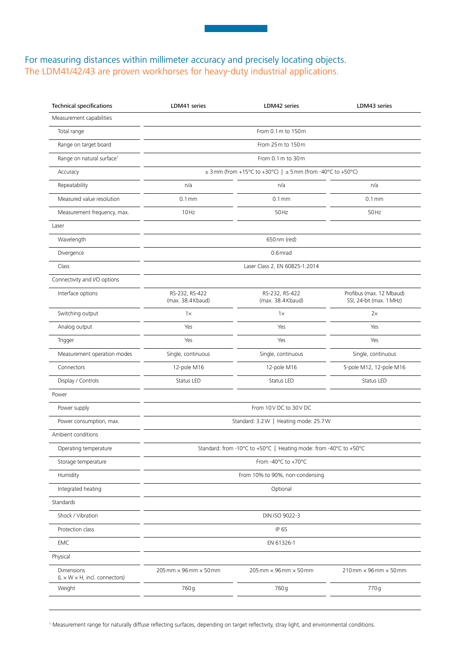## For measuring distances within millimeter accuracy and precisely locating objects. The LDM41/42/43 are proven workhorses for heavy-duty industrial applications.

| <b>Technical specifications</b>                         | LDM41 series                                                        | LDM42 series                                                      | LDM43 series                                         |
|---------------------------------------------------------|---------------------------------------------------------------------|-------------------------------------------------------------------|------------------------------------------------------|
| Measurement capabilities                                |                                                                     |                                                                   |                                                      |
| Total range                                             | From 0.1 m to 150 m                                                 |                                                                   |                                                      |
| Range on target board                                   | From 25 m to 150 m                                                  |                                                                   |                                                      |
| Range on natural surface <sup>1</sup>                   | From 0.1 m to 30 m                                                  |                                                                   |                                                      |
| Accuracy                                                | $\pm$ 3 mm (from +15°C to +30°C)   $\pm$ 5 mm (from -40°C to +50°C) |                                                                   |                                                      |
| Repeatability                                           | n/a                                                                 | n/a                                                               | n/a                                                  |
| Measured value resolution                               | $0.1$ mm                                                            | $0.1$ mm                                                          | $0.1$ mm                                             |
| Measurement frequency, max.                             | 10Hz                                                                | $50$ Hz                                                           | 50 Hz                                                |
| Laser                                                   |                                                                     |                                                                   |                                                      |
| Wavelength                                              | 650 nm (red)                                                        |                                                                   |                                                      |
| Divergence                                              | $0.6$ mrad                                                          |                                                                   |                                                      |
| Class                                                   | Laser Class 2, EN 60825-1:2014                                      |                                                                   |                                                      |
| Connectivity and I/O options                            |                                                                     |                                                                   |                                                      |
| Interface options                                       | RS-232, RS-422<br>(max. 38.4 Kbaud)                                 | RS-232, RS-422<br>(max. 38.4 Kbaud)                               | Profibus (max. 12 Mbaud)<br>SSI, 24-bit (max. 1 MHz) |
| Switching output                                        | $1\times$                                                           | $1\times$                                                         | $2\times$                                            |
| Analog output                                           | Yes                                                                 | Yes                                                               | Yes                                                  |
| Trigger                                                 | Yes                                                                 | Yes                                                               | Yes                                                  |
| Measurement operation modes                             | Single, continuous                                                  | Single, continuous                                                | Single, continuous                                   |
| Connectors                                              | 12-pole M16                                                         | 12-pole M16                                                       | 5-pole M12, 12-pole M16                              |
| Display / Controls                                      | Status LED                                                          | Status LED                                                        | Status LED                                           |
| Power                                                   |                                                                     |                                                                   |                                                      |
| Power supply                                            | From 10V DC to 30V DC                                               |                                                                   |                                                      |
| Power consumption, max.                                 | Standard: 3.2W   Heating mode: 25.7W                                |                                                                   |                                                      |
| Ambient conditions                                      |                                                                     |                                                                   |                                                      |
| Operating temperature                                   |                                                                     | Standard: from -10°C to +50°C   Heating mode: from -40°C to +50°C |                                                      |
| Storage temperature                                     | From -40°C to +70°C                                                 |                                                                   |                                                      |
| Humidity                                                | From 10% to 90%, non-condensing                                     |                                                                   |                                                      |
| Integrated heating                                      | Optional                                                            |                                                                   |                                                      |
| Standards                                               |                                                                     |                                                                   |                                                      |
| Shock / Vibration                                       | DIN ISO 9022-3                                                      |                                                                   |                                                      |
| Protection class                                        | IP 65                                                               |                                                                   |                                                      |
| <b>EMC</b>                                              | EN 61326-1                                                          |                                                                   |                                                      |
| Physical                                                |                                                                     |                                                                   |                                                      |
| Dimensions<br>$(L \times W \times H,$ incl. connectors) | $205$ mm $\times$ 96 mm $\times$ 50 mm                              | $205$ mm $\times$ 96 mm $\times$ 50 mm                            | $210$ mm $\times$ 96 mm $\times$ 50 mm               |
| Weight                                                  | 760g                                                                | 760 g                                                             | 770g                                                 |

1 Measurement range for naturally diffuse reflecting surfaces, depending on target reflectivity, stray light, and environmental conditions.